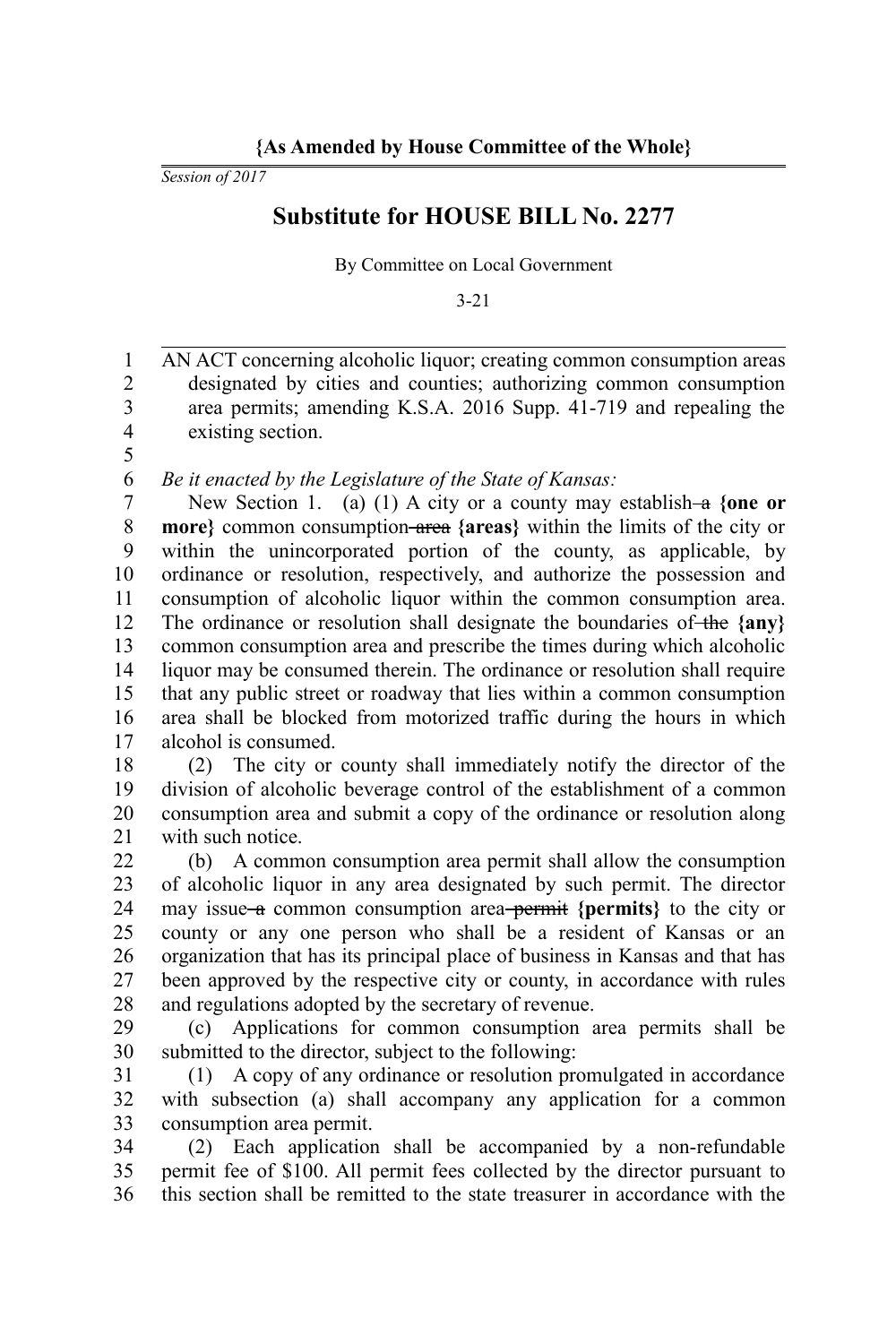*Session of 2017*

## **Substitute for HOUSE BILL No. 2277**

By Committee on Local Government

3-21

AN ACT concerning alcoholic liquor; creating common consumption areas designated by cities and counties; authorizing common consumption area permits; amending K.S.A. 2016 Supp. 41-719 and repealing the existing section. 1 2 3 4

5 6

*Be it enacted by the Legislature of the State of Kansas:*

New Section 1. (a) (1) A city or a county may establish-a {one or **more}** common consumption area **{areas}** within the limits of the city or within the unincorporated portion of the county, as applicable, by ordinance or resolution, respectively, and authorize the possession and consumption of alcoholic liquor within the common consumption area. The ordinance or resolution shall designate the boundaries of the {any} common consumption area and prescribe the times during which alcoholic liquor may be consumed therein. The ordinance or resolution shall require that any public street or roadway that lies within a common consumption area shall be blocked from motorized traffic during the hours in which alcohol is consumed. 7 8 9 10 11 12 13 14 15 16 17

(2) The city or county shall immediately notify the director of the division of alcoholic beverage control of the establishment of a common consumption area and submit a copy of the ordinance or resolution along with such notice. 18 19 20 21

(b) A common consumption area permit shall allow the consumption of alcoholic liquor in any area designated by such permit. The director may issue a common consumption area **permit** {permits} to the city or county or any one person who shall be a resident of Kansas or an organization that has its principal place of business in Kansas and that has been approved by the respective city or county, in accordance with rules and regulations adopted by the secretary of revenue. 22 23 24 25 26 27 28

(c) Applications for common consumption area permits shall be submitted to the director, subject to the following: 29 30

(1) A copy of any ordinance or resolution promulgated in accordance with subsection (a) shall accompany any application for a common consumption area permit. 31 32 33

(2) Each application shall be accompanied by a non-refundable permit fee of \$100. All permit fees collected by the director pursuant to this section shall be remitted to the state treasurer in accordance with the 34 35 36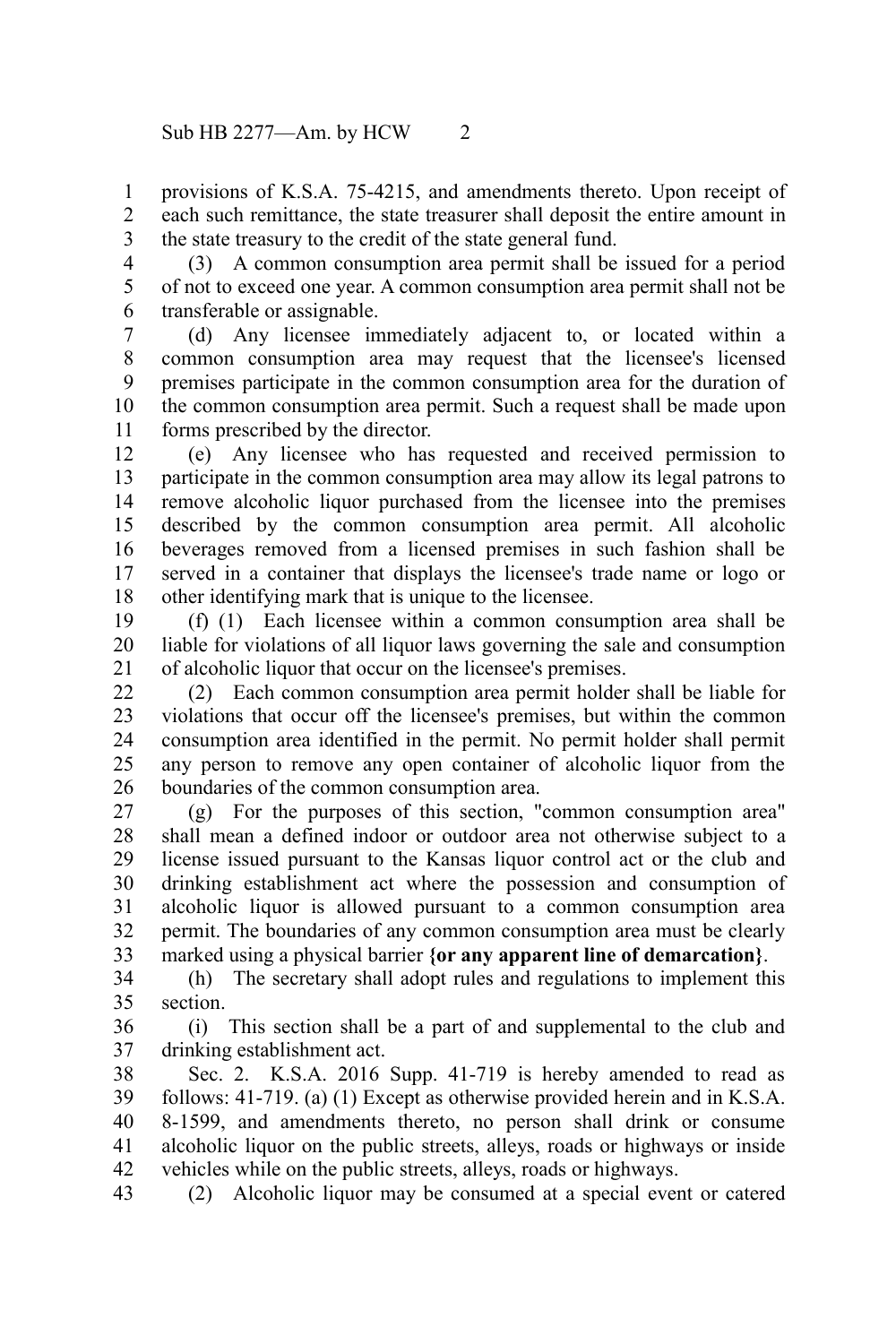provisions of K.S.A. 75-4215, and amendments thereto. Upon receipt of each such remittance, the state treasurer shall deposit the entire amount in the state treasury to the credit of the state general fund. 1 2 3

(3) A common consumption area permit shall be issued for a period of not to exceed one year. A common consumption area permit shall not be transferable or assignable. 4 5 6

(d) Any licensee immediately adjacent to, or located within a common consumption area may request that the licensee's licensed premises participate in the common consumption area for the duration of the common consumption area permit. Such a request shall be made upon forms prescribed by the director. 7 8 9 10 11

(e) Any licensee who has requested and received permission to participate in the common consumption area may allow its legal patrons to remove alcoholic liquor purchased from the licensee into the premises described by the common consumption area permit. All alcoholic beverages removed from a licensed premises in such fashion shall be served in a container that displays the licensee's trade name or logo or other identifying mark that is unique to the licensee. 12 13 14 15 16 17 18

(f) (1) Each licensee within a common consumption area shall be liable for violations of all liquor laws governing the sale and consumption of alcoholic liquor that occur on the licensee's premises. 19 20 21

(2) Each common consumption area permit holder shall be liable for violations that occur off the licensee's premises, but within the common consumption area identified in the permit. No permit holder shall permit any person to remove any open container of alcoholic liquor from the boundaries of the common consumption area. 22 23 24 25 26

(g) For the purposes of this section, "common consumption area" shall mean a defined indoor or outdoor area not otherwise subject to a license issued pursuant to the Kansas liquor control act or the club and drinking establishment act where the possession and consumption of alcoholic liquor is allowed pursuant to a common consumption area permit. The boundaries of any common consumption area must be clearly marked using a physical barrier **{or any apparent line of demarcation}**. 27 28 29 30 31 32 33

(h) The secretary shall adopt rules and regulations to implement this section. 34 35

(i) This section shall be a part of and supplemental to the club and drinking establishment act. 36 37

Sec. 2. K.S.A. 2016 Supp. 41-719 is hereby amended to read as follows: 41-719. (a) (1) Except as otherwise provided herein and in K.S.A. 8-1599, and amendments thereto, no person shall drink or consume alcoholic liquor on the public streets, alleys, roads or highways or inside vehicles while on the public streets, alleys, roads or highways. 38 39 40 41 42

(2) Alcoholic liquor may be consumed at a special event or catered 43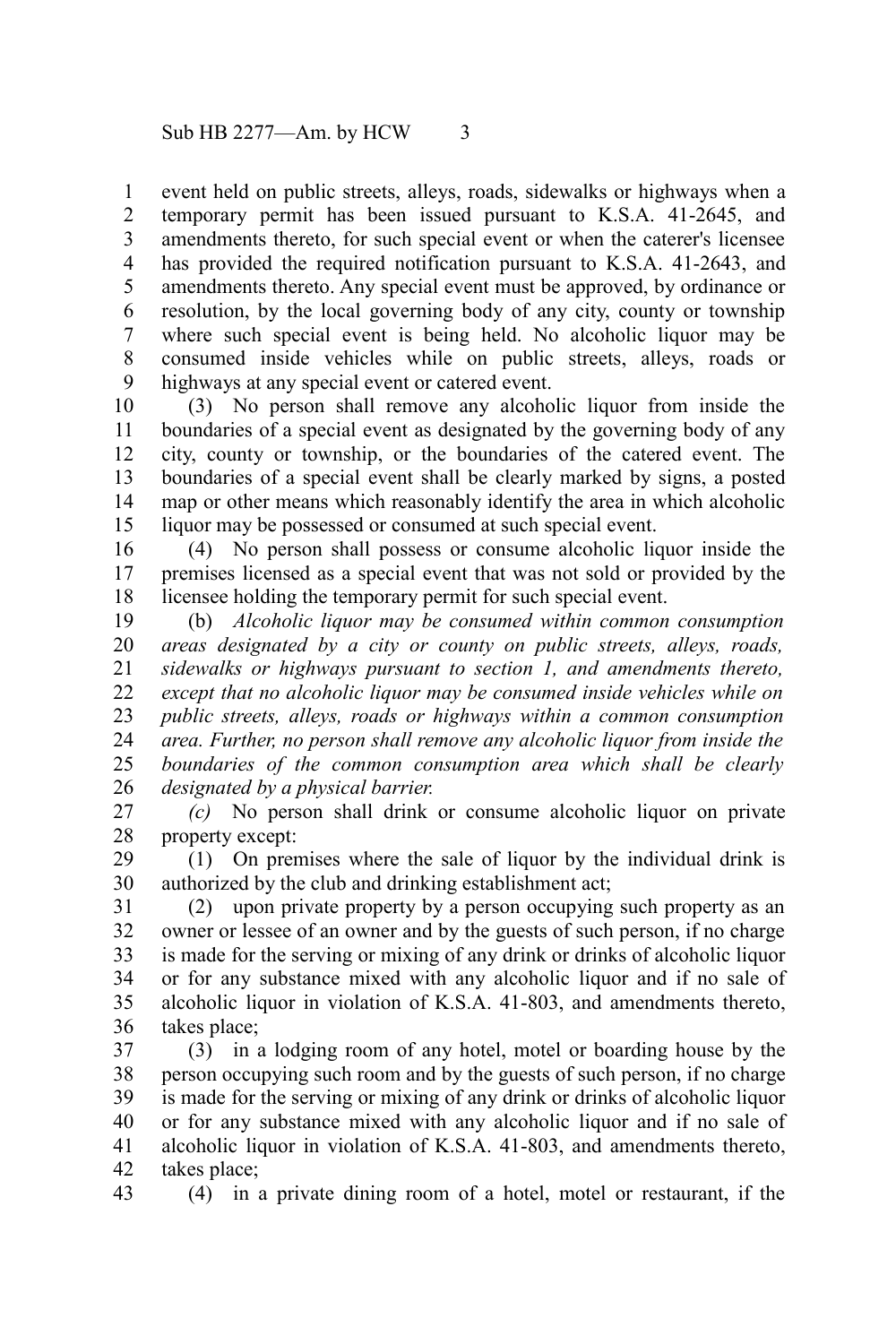event held on public streets, alleys, roads, sidewalks or highways when a temporary permit has been issued pursuant to K.S.A. 41-2645, and amendments thereto, for such special event or when the caterer's licensee has provided the required notification pursuant to K.S.A. 41-2643, and amendments thereto. Any special event must be approved, by ordinance or resolution, by the local governing body of any city, county or township where such special event is being held. No alcoholic liquor may be consumed inside vehicles while on public streets, alleys, roads or highways at any special event or catered event. 1 2 3 4 5 6 7 8 9

(3) No person shall remove any alcoholic liquor from inside the boundaries of a special event as designated by the governing body of any city, county or township, or the boundaries of the catered event. The boundaries of a special event shall be clearly marked by signs, a posted map or other means which reasonably identify the area in which alcoholic liquor may be possessed or consumed at such special event. 10 11 12 13 14 15

(4) No person shall possess or consume alcoholic liquor inside the premises licensed as a special event that was not sold or provided by the licensee holding the temporary permit for such special event. 16 17 18

(b) *Alcoholic liquor may be consumed within common consumption areas designated by a city or county on public streets, alleys, roads, sidewalks or highways pursuant to section 1, and amendments thereto, except that no alcoholic liquor may be consumed inside vehicles while on public streets, alleys, roads or highways within a common consumption area. Further, no person shall remove any alcoholic liquor from inside the boundaries of the common consumption area which shall be clearly designated by a physical barrier.* 19 20 21 22 23 24 25 26

*(c)* No person shall drink or consume alcoholic liquor on private property except: 27 28

(1) On premises where the sale of liquor by the individual drink is authorized by the club and drinking establishment act; 29 30

(2) upon private property by a person occupying such property as an owner or lessee of an owner and by the guests of such person, if no charge is made for the serving or mixing of any drink or drinks of alcoholic liquor or for any substance mixed with any alcoholic liquor and if no sale of alcoholic liquor in violation of K.S.A. 41-803, and amendments thereto, takes place; 31 32 33 34 35 36

(3) in a lodging room of any hotel, motel or boarding house by the person occupying such room and by the guests of such person, if no charge is made for the serving or mixing of any drink or drinks of alcoholic liquor or for any substance mixed with any alcoholic liquor and if no sale of alcoholic liquor in violation of K.S.A. 41-803, and amendments thereto, takes place; 37 38 39 40 41 42

43

(4) in a private dining room of a hotel, motel or restaurant, if the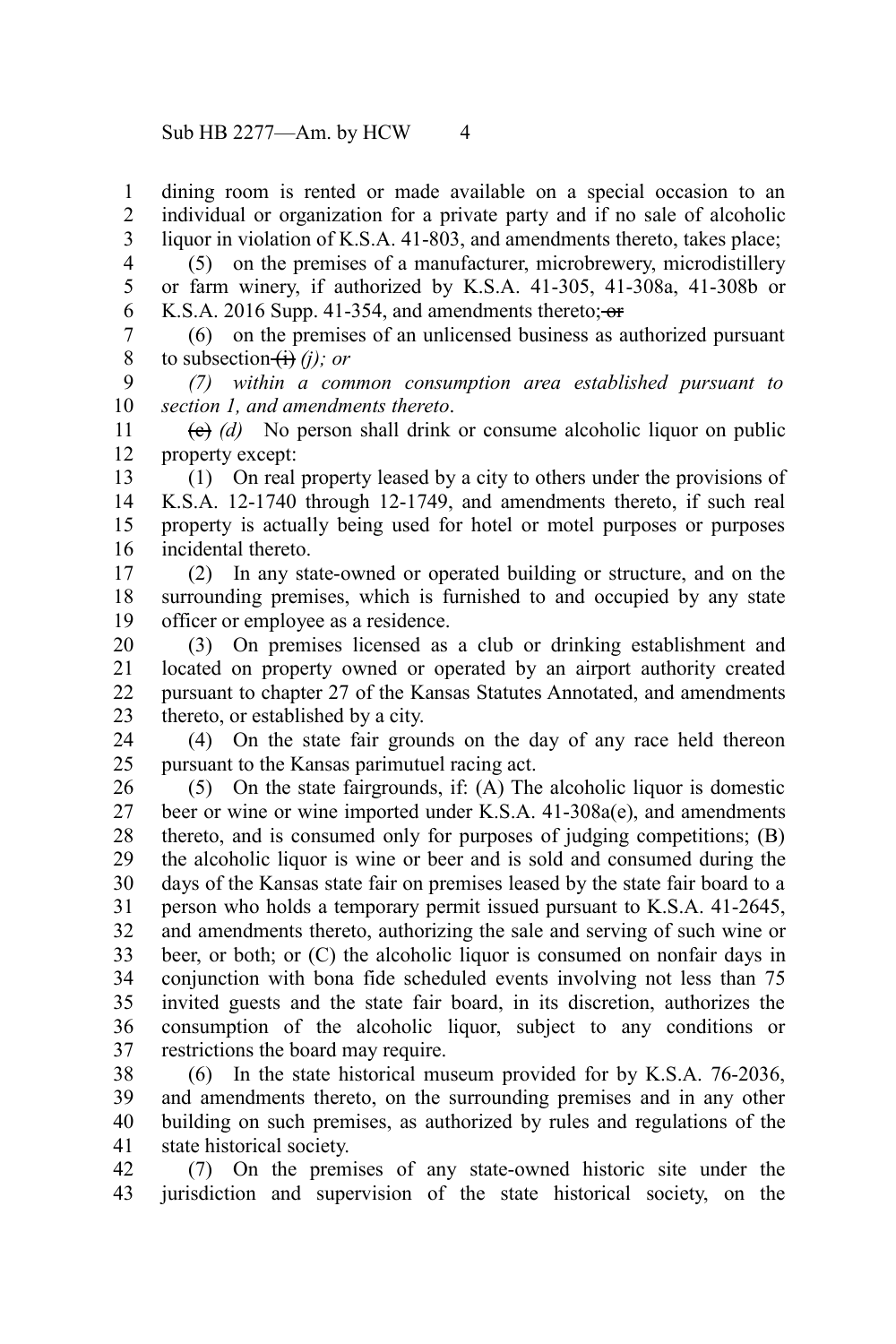dining room is rented or made available on a special occasion to an individual or organization for a private party and if no sale of alcoholic liquor in violation of K.S.A. 41-803, and amendments thereto, takes place; 1 2 3

(5) on the premises of a manufacturer, microbrewery, microdistillery or farm winery, if authorized by K.S.A. 41-305, 41-308a, 41-308b or K.S.A. 2016 Supp. 41-354, and amendments thereto; or 4 5 6

(6) on the premises of an unlicensed business as authorized pursuant to subsection  $\overrightarrow{H}$  *(i)*; *or* 7 8

*(7) within a common consumption area established pursuant to section 1, and amendments thereto*. 9 10

(c) *(d)* No person shall drink or consume alcoholic liquor on public property except: 11 12

(1) On real property leased by a city to others under the provisions of K.S.A. 12-1740 through 12-1749, and amendments thereto, if such real property is actually being used for hotel or motel purposes or purposes incidental thereto. 13 14 15 16

(2) In any state-owned or operated building or structure, and on the surrounding premises, which is furnished to and occupied by any state officer or employee as a residence. 17 18 19

(3) On premises licensed as a club or drinking establishment and located on property owned or operated by an airport authority created pursuant to chapter 27 of the Kansas Statutes Annotated, and amendments thereto, or established by a city. 20 21 22 23

(4) On the state fair grounds on the day of any race held thereon pursuant to the Kansas parimutuel racing act. 24 25

(5) On the state fairgrounds, if: (A) The alcoholic liquor is domestic beer or wine or wine imported under K.S.A. 41-308a(e), and amendments thereto, and is consumed only for purposes of judging competitions; (B) the alcoholic liquor is wine or beer and is sold and consumed during the days of the Kansas state fair on premises leased by the state fair board to a person who holds a temporary permit issued pursuant to K.S.A. 41-2645, and amendments thereto, authorizing the sale and serving of such wine or beer, or both; or (C) the alcoholic liquor is consumed on nonfair days in conjunction with bona fide scheduled events involving not less than 75 invited guests and the state fair board, in its discretion, authorizes the consumption of the alcoholic liquor, subject to any conditions or restrictions the board may require. 26 27 28 29 30 31 32 33 34 35 36 37

(6) In the state historical museum provided for by K.S.A. 76-2036, and amendments thereto, on the surrounding premises and in any other building on such premises, as authorized by rules and regulations of the state historical society. 38 39 40 41

(7) On the premises of any state-owned historic site under the jurisdiction and supervision of the state historical society, on the 42 43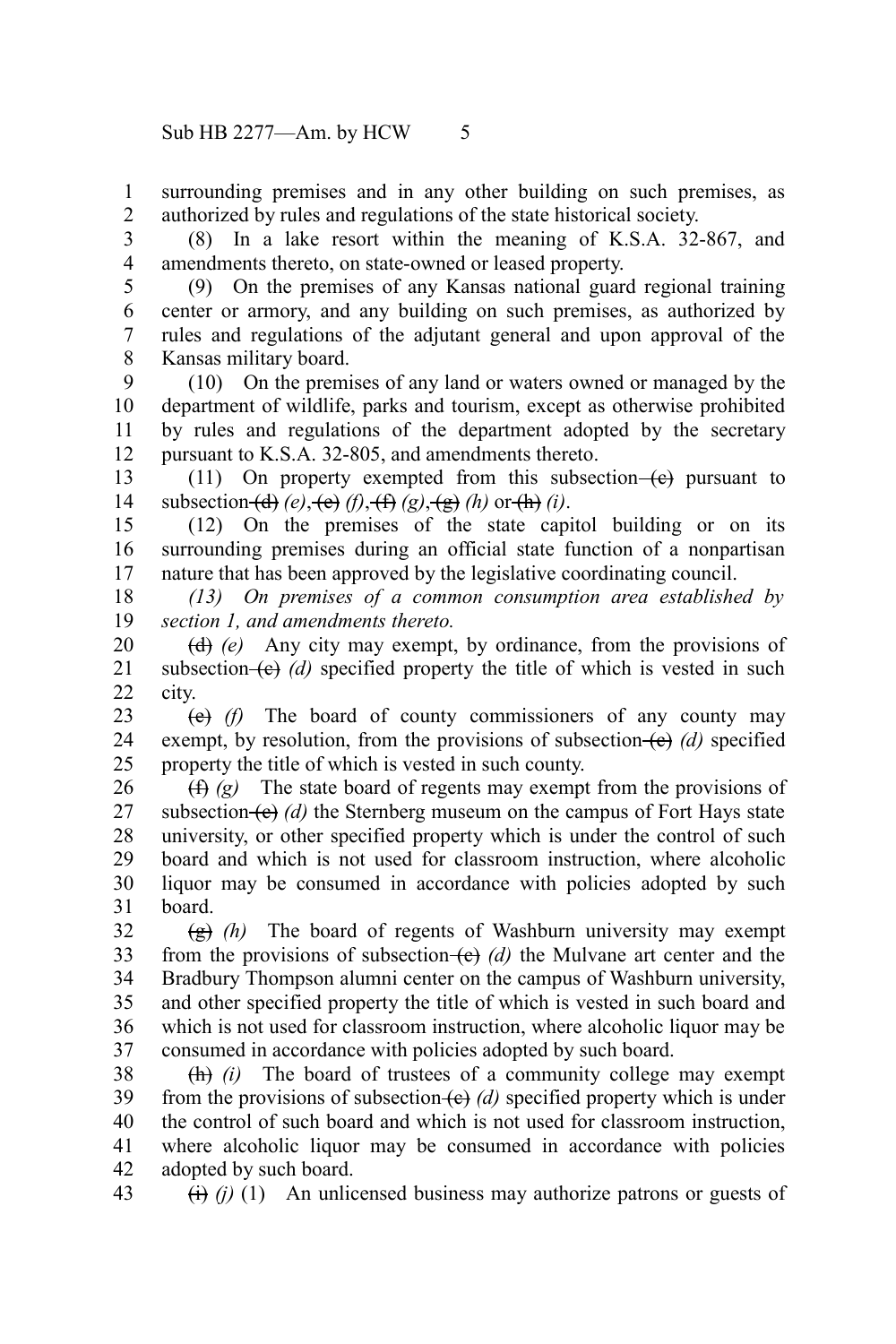surrounding premises and in any other building on such premises, as authorized by rules and regulations of the state historical society. 1 2

(8) In a lake resort within the meaning of K.S.A. 32-867, and amendments thereto, on state-owned or leased property. 3 4

5

43

(9) On the premises of any Kansas national guard regional training center or armory, and any building on such premises, as authorized by rules and regulations of the adjutant general and upon approval of the Kansas military board. 6 7 8

(10) On the premises of any land or waters owned or managed by the department of wildlife, parks and tourism, except as otherwise prohibited by rules and regulations of the department adopted by the secretary pursuant to K.S.A. 32-805, and amendments thereto. 9 10 11 12

(11) On property exempted from this subsection  $(e)$  pursuant to subsection  $\left(\frac{d}{d}\right)(e)$ ,  $\left(\frac{e}{f}\right)(f)$ ,  $\left(\frac{f}{f}\right)(g)$ ,  $\left(\frac{e}{g}\right)(h)$  or  $\left(\frac{h}{f}\right)(i)$ . 13 14

(12) On the premises of the state capitol building or on its surrounding premises during an official state function of a nonpartisan nature that has been approved by the legislative coordinating council. 15 16 17

*(13) On premises of a common consumption area established by section 1, and amendments thereto.* 18 19

(d) *(e)* Any city may exempt, by ordinance, from the provisions of subsection  $(e)$  *(d)* specified property the title of which is vested in such city. 20 21 22

(e) *(f)* The board of county commissioners of any county may exempt, by resolution, from the provisions of subsection  $(e)$  *(d)* specified property the title of which is vested in such county. 23 24 25

(f) *(g)* The state board of regents may exempt from the provisions of subsection  $\left(\mathbf{e}\right)$  *(d)* the Sternberg museum on the campus of Fort Hays state university, or other specified property which is under the control of such board and which is not used for classroom instruction, where alcoholic liquor may be consumed in accordance with policies adopted by such board. 26 27 28 29 30 31

(g) *(h)* The board of regents of Washburn university may exempt from the provisions of subsection  $(e)$  *(d)* the Mulvane art center and the Bradbury Thompson alumni center on the campus of Washburn university, and other specified property the title of which is vested in such board and which is not used for classroom instruction, where alcoholic liquor may be consumed in accordance with policies adopted by such board. 32 33 34 35 36 37

(h) *(i)* The board of trustees of a community college may exempt from the provisions of subsection (e) (d) specified property which is under the control of such board and which is not used for classroom instruction, where alcoholic liquor may be consumed in accordance with policies adopted by such board. 38 39 40 41 42

(i) *(j)* (1) An unlicensed business may authorize patrons or guests of